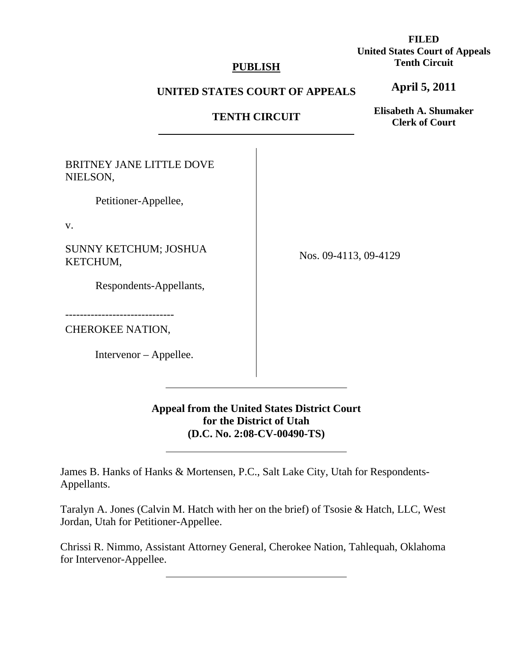### **PUBLISH**

# **FILED United States Court of Appeals Tenth Circuit**

#### **UNITED STATES COURT OF APPEALS**

# **TENTH CIRCUIT**

**Elisabeth A. Shumaker Clerk of Court**

**April 5, 2011**

BRITNEY JANE LITTLE DOVE NIELSON,

Petitioner-Appellee,

v.

SUNNY KETCHUM; JOSHUA KETCHUM,

Respondents-Appellants,

------------------------------

CHEROKEE NATION,

Intervenor – Appellee.

 $\overline{a}$ 

l

Nos. 09-4113, 09-4129

**Appeal from the United States District Court for the District of Utah (D.C. No. 2:08-CV-00490-TS)**

James B. Hanks of Hanks & Mortensen, P.C., Salt Lake City, Utah for Respondents-Appellants.

Taralyn A. Jones (Calvin M. Hatch with her on the brief) of Tsosie & Hatch, LLC, West Jordan, Utah for Petitioner-Appellee.

Chrissi R. Nimmo, Assistant Attorney General, Cherokee Nation, Tahlequah, Oklahoma for Intervenor-Appellee.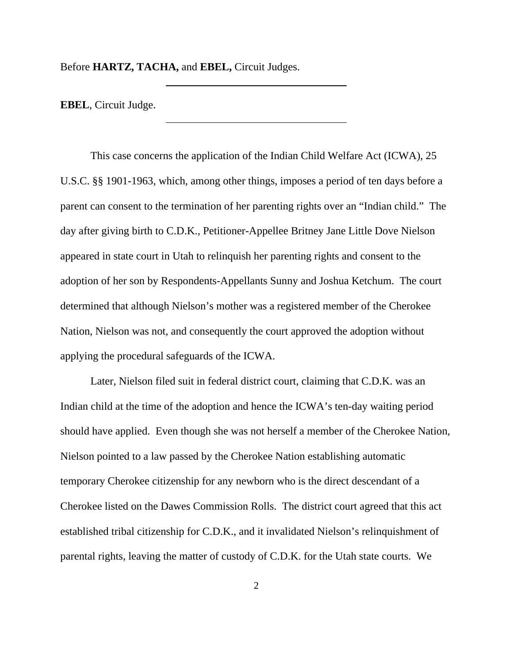Before **HARTZ, TACHA,** and **EBEL,** Circuit Judges.

 $\overline{a}$ 

**EBEL**, Circuit Judge.

 This case concerns the application of the Indian Child Welfare Act (ICWA), 25 U.S.C. §§ 1901-1963, which, among other things, imposes a period of ten days before a parent can consent to the termination of her parenting rights over an "Indian child." The day after giving birth to C.D.K., Petitioner-Appellee Britney Jane Little Dove Nielson appeared in state court in Utah to relinquish her parenting rights and consent to the adoption of her son by Respondents-Appellants Sunny and Joshua Ketchum. The court determined that although Nielson's mother was a registered member of the Cherokee Nation, Nielson was not, and consequently the court approved the adoption without applying the procedural safeguards of the ICWA.

 Later, Nielson filed suit in federal district court, claiming that C.D.K. was an Indian child at the time of the adoption and hence the ICWA's ten-day waiting period should have applied. Even though she was not herself a member of the Cherokee Nation, Nielson pointed to a law passed by the Cherokee Nation establishing automatic temporary Cherokee citizenship for any newborn who is the direct descendant of a Cherokee listed on the Dawes Commission Rolls. The district court agreed that this act established tribal citizenship for C.D.K., and it invalidated Nielson's relinquishment of parental rights, leaving the matter of custody of C.D.K. for the Utah state courts. We

2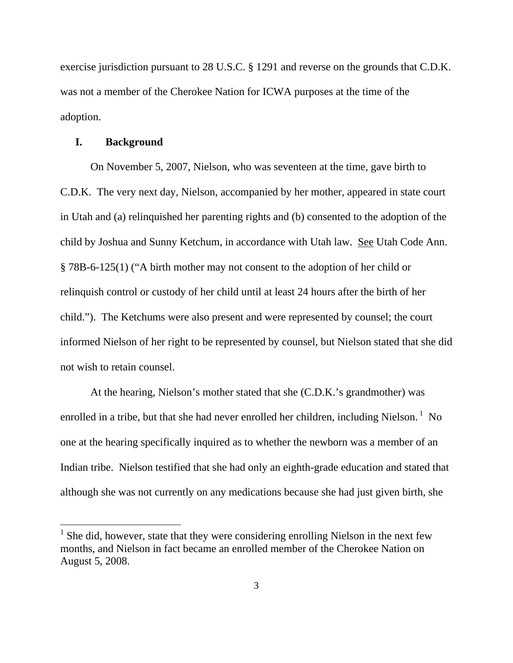exercise jurisdiction pursuant to 28 U.S.C. § 1291 and reverse on the grounds that C.D.K. was not a member of the Cherokee Nation for ICWA purposes at the time of the adoption.

#### **I. Background**

 $\overline{a}$ 

On November 5, 2007, Nielson, who was seventeen at the time, gave birth to C.D.K. The very next day, Nielson, accompanied by her mother, appeared in state court in Utah and (a) relinquished her parenting rights and (b) consented to the adoption of the child by Joshua and Sunny Ketchum, in accordance with Utah law. See Utah Code Ann. § 78B-6-125(1) ("A birth mother may not consent to the adoption of her child or relinquish control or custody of her child until at least 24 hours after the birth of her child."). The Ketchums were also present and were represented by counsel; the court informed Nielson of her right to be represented by counsel, but Nielson stated that she did not wish to retain counsel.

 At the hearing, Nielson's mother stated that she (C.D.K.'s grandmother) was enrolled in a tribe, but that she had never enrolled her children, including Nielson.  $\frac{1}{1}$  No one at the hearing specifically inquired as to whether the newborn was a member of an Indian tribe. Nielson testified that she had only an eighth-grade education and stated that although she was not currently on any medications because she had just given birth, she

 $<sup>1</sup>$  She did, however, state that they were considering enrolling Nielson in the next few</sup> months, and Nielson in fact became an enrolled member of the Cherokee Nation on August 5, 2008.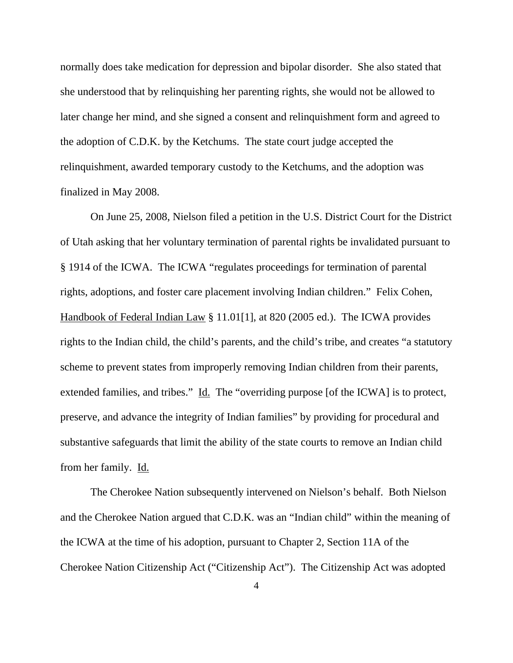normally does take medication for depression and bipolar disorder. She also stated that she understood that by relinquishing her parenting rights, she would not be allowed to later change her mind, and she signed a consent and relinquishment form and agreed to the adoption of C.D.K. by the Ketchums.The state court judge accepted the relinquishment, awarded temporary custody to the Ketchums, and the adoption was finalized in May 2008.

 On June 25, 2008, Nielson filed a petition in the U.S. District Court for the District of Utah asking that her voluntary termination of parental rights be invalidated pursuant to § 1914 of the ICWA. The ICWA "regulates proceedings for termination of parental rights, adoptions, and foster care placement involving Indian children." Felix Cohen, Handbook of Federal Indian Law § 11.01[1], at 820 (2005 ed.). The ICWA provides rights to the Indian child, the child's parents, and the child's tribe, and creates "a statutory scheme to prevent states from improperly removing Indian children from their parents, extended families, and tribes." Id. The "overriding purpose [of the ICWA] is to protect, preserve, and advance the integrity of Indian families" by providing for procedural and substantive safeguards that limit the ability of the state courts to remove an Indian child from her family. Id.

 The Cherokee Nation subsequently intervened on Nielson's behalf. Both Nielson and the Cherokee Nation argued that C.D.K. was an "Indian child" within the meaning of the ICWA at the time of his adoption, pursuant to Chapter 2, Section 11A of the Cherokee Nation Citizenship Act ("Citizenship Act"). The Citizenship Act was adopted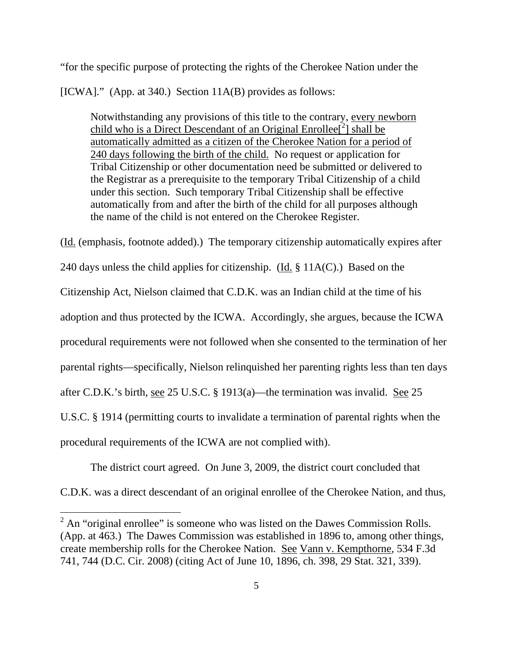"for the specific purpose of protecting the rights of the Cherokee Nation under the [ICWA]." (App. at 340.) Section 11A(B) provides as follows:

Notwithstanding any provisions of this title to the contrary, every newborn child who is a Direct Descendant of an Original Enrollee<sup>[2</sup>] shall be automatically admitted as a citizen of the Cherokee Nation for a period of 240 days following the birth of the child. No request or application for Tribal Citizenship or other documentation need be submitted or delivered to the Registrar as a prerequisite to the temporary Tribal Citizenship of a child under this section. Such temporary Tribal Citizenship shall be effective automatically from and after the birth of the child for all purposes although the name of the child is not entered on the Cherokee Register.

(Id. (emphasis, footnote added).) The temporary citizenship automatically expires after 240 days unless the child applies for citizenship. (Id. § 11A(C).) Based on the Citizenship Act, Nielson claimed that C.D.K. was an Indian child at the time of his adoption and thus protected by the ICWA. Accordingly, she argues, because the ICWA procedural requirements were not followed when she consented to the termination of her parental rights—specifically, Nielson relinquished her parenting rights less than ten days after C.D.K.'s birth, see 25 U.S.C. § 1913(a)—the termination was invalid. See 25 U.S.C. § 1914 (permitting courts to invalidate a termination of parental rights when the procedural requirements of the ICWA are not complied with).

The district court agreed. On June 3, 2009, the district court concluded that

C.D.K. was a direct descendant of an original enrollee of the Cherokee Nation, and thus,

 $\overline{a}$ 

 $2^2$  An "original enrollee" is someone who was listed on the Dawes Commission Rolls. (App. at 463.)The Dawes Commission was established in 1896 to, among other things, create membership rolls for the Cherokee Nation. See Vann v. Kempthorne, 534 F.3d 741, 744 (D.C. Cir. 2008) (citing Act of June 10, 1896, ch. 398, 29 Stat. 321, 339).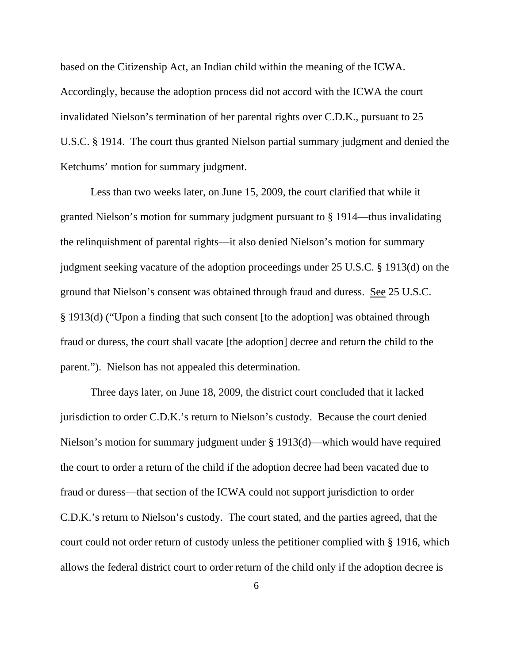based on the Citizenship Act, an Indian child within the meaning of the ICWA. Accordingly, because the adoption process did not accord with the ICWA the court invalidated Nielson's termination of her parental rights over C.D.K., pursuant to 25 U.S.C. § 1914. The court thus granted Nielson partial summary judgment and denied the Ketchums' motion for summary judgment.

 Less than two weeks later, on June 15, 2009, the court clarified that while it granted Nielson's motion for summary judgment pursuant to § 1914—thus invalidating the relinquishment of parental rights—it also denied Nielson's motion for summary judgment seeking vacature of the adoption proceedings under 25 U.S.C. § 1913(d) on the ground that Nielson's consent was obtained through fraud and duress. See 25 U.S.C. § 1913(d) ("Upon a finding that such consent [to the adoption] was obtained through fraud or duress, the court shall vacate [the adoption] decree and return the child to the parent."). Nielson has not appealed this determination.

 Three days later, on June 18, 2009, the district court concluded that it lacked jurisdiction to order C.D.K.'s return to Nielson's custody. Because the court denied Nielson's motion for summary judgment under § 1913(d)—which would have required the court to order a return of the child if the adoption decree had been vacated due to fraud or duress—that section of the ICWA could not support jurisdiction to order C.D.K.'s return to Nielson's custody. The court stated, and the parties agreed, that the court could not order return of custody unless the petitioner complied with § 1916, which allows the federal district court to order return of the child only if the adoption decree is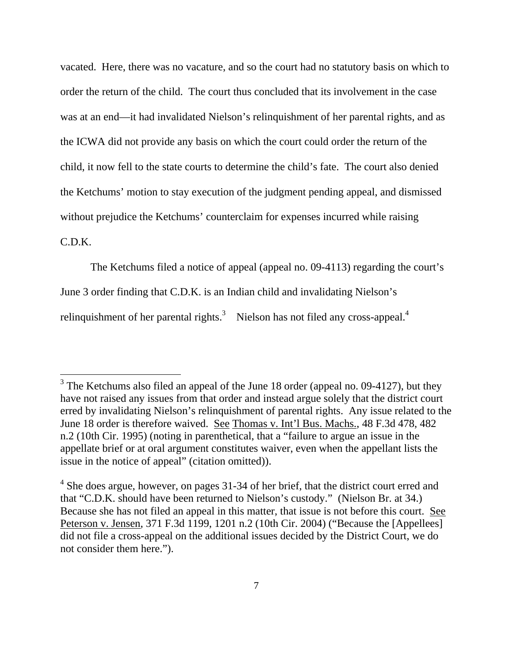vacated. Here, there was no vacature, and so the court had no statutory basis on which to order the return of the child. The court thus concluded that its involvement in the case was at an end—it had invalidated Nielson's relinquishment of her parental rights, and as the ICWA did not provide any basis on which the court could order the return of the child, it now fell to the state courts to determine the child's fate. The court also denied the Ketchums' motion to stay execution of the judgment pending appeal, and dismissed without prejudice the Ketchums' counterclaim for expenses incurred while raising

# C.D.K.

 $\overline{a}$ 

The Ketchums filed a notice of appeal (appeal no. 09-4113) regarding the court's

June 3 order finding that C.D.K. is an Indian child and invalidating Nielson's

relinquishment of her parental rights. $3$  Nielson has not filed any cross-appeal.<sup>4</sup>

 $3$  The Ketchums also filed an appeal of the June 18 order (appeal no. 09-4127), but they have not raised any issues from that order and instead argue solely that the district court erred by invalidating Nielson's relinquishment of parental rights. Any issue related to the June 18 order is therefore waived. See Thomas v. Int'l Bus. Machs., 48 F.3d 478, 482 n.2 (10th Cir. 1995) (noting in parenthetical, that a "failure to argue an issue in the appellate brief or at oral argument constitutes waiver, even when the appellant lists the issue in the notice of appeal" (citation omitted)).

 $4$  She does argue, however, on pages 31-34 of her brief, that the district court erred and that "C.D.K. should have been returned to Nielson's custody." (Nielson Br. at 34.) Because she has not filed an appeal in this matter, that issue is not before this court. See Peterson v. Jensen, 371 F.3d 1199, 1201 n.2 (10th Cir. 2004) ("Because the [Appellees] did not file a cross-appeal on the additional issues decided by the District Court, we do not consider them here.").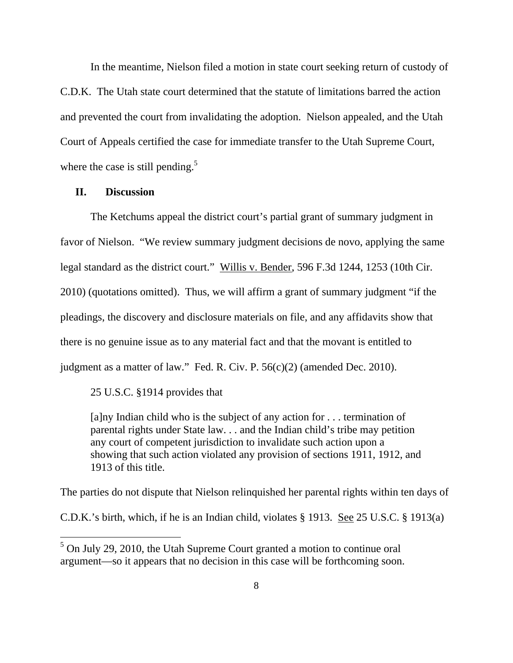In the meantime, Nielson filed a motion in state court seeking return of custody of C.D.K. The Utah state court determined that the statute of limitations barred the action and prevented the court from invalidating the adoption. Nielson appealed, and the Utah Court of Appeals certified the case for immediate transfer to the Utah Supreme Court, where the case is still pending.<sup>5</sup>

#### **II. Discussion**

 $\overline{a}$ 

 The Ketchums appeal the district court's partial grant of summary judgment in favor of Nielson. "We review summary judgment decisions de novo, applying the same legal standard as the district court." Willis v. Bender, 596 F.3d 1244, 1253 (10th Cir. 2010) (quotations omitted). Thus, we will affirm a grant of summary judgment "if the pleadings, the discovery and disclosure materials on file, and any affidavits show that there is no genuine issue as to any material fact and that the movant is entitled to judgment as a matter of law." Fed. R. Civ. P. 56(c)(2) (amended Dec. 2010).

25 U.S.C. §1914 provides that

[a]ny Indian child who is the subject of any action for . . . termination of parental rights under State law. . . and the Indian child's tribe may petition any court of competent jurisdiction to invalidate such action upon a showing that such action violated any provision of sections 1911, 1912, and 1913 of this title.

The parties do not dispute that Nielson relinquished her parental rights within ten days of

C.D.K.'s birth, which, if he is an Indian child, violates § 1913. See 25 U.S.C. § 1913(a)

 $<sup>5</sup>$  On July 29, 2010, the Utah Supreme Court granted a motion to continue oral</sup> argument—so it appears that no decision in this case will be forthcoming soon.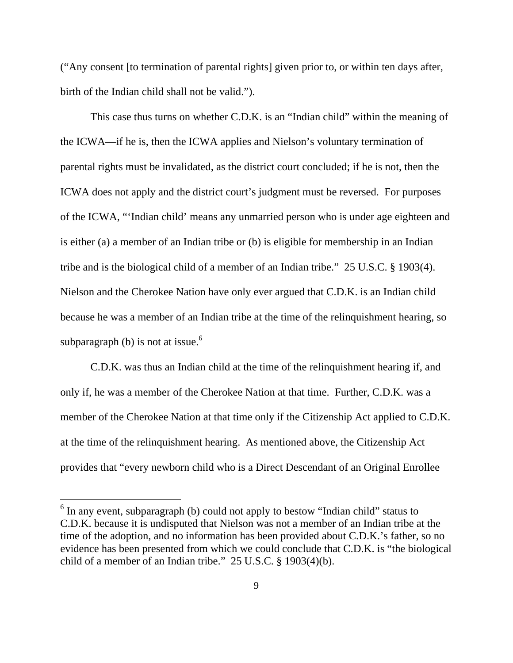("Any consent [to termination of parental rights] given prior to, or within ten days after, birth of the Indian child shall not be valid.").

 This case thus turns on whether C.D.K. is an "Indian child" within the meaning of the ICWA—if he is, then the ICWA applies and Nielson's voluntary termination of parental rights must be invalidated, as the district court concluded; if he is not, then the ICWA does not apply and the district court's judgment must be reversed. For purposes of the ICWA, "'Indian child' means any unmarried person who is under age eighteen and is either (a) a member of an Indian tribe or (b) is eligible for membership in an Indian tribe and is the biological child of a member of an Indian tribe." 25 U.S.C. § 1903(4). Nielson and the Cherokee Nation have only ever argued that C.D.K. is an Indian child because he was a member of an Indian tribe at the time of the relinquishment hearing, so subparagraph (b) is not at issue.<sup>6</sup>

 C.D.K. was thus an Indian child at the time of the relinquishment hearing if, and only if, he was a member of the Cherokee Nation at that time. Further, C.D.K. was a member of the Cherokee Nation at that time only if the Citizenship Act applied to C.D.K. at the time of the relinquishment hearing. As mentioned above, the Citizenship Act provides that "every newborn child who is a Direct Descendant of an Original Enrollee

 $\overline{a}$ 

<sup>&</sup>lt;sup>6</sup> In any event, subparagraph (b) could not apply to bestow "Indian child" status to C.D.K. because it is undisputed that Nielson was not a member of an Indian tribe at the time of the adoption, and no information has been provided about C.D.K.'s father, so no evidence has been presented from which we could conclude that C.D.K. is "the biological child of a member of an Indian tribe." 25 U.S.C. § 1903(4)(b).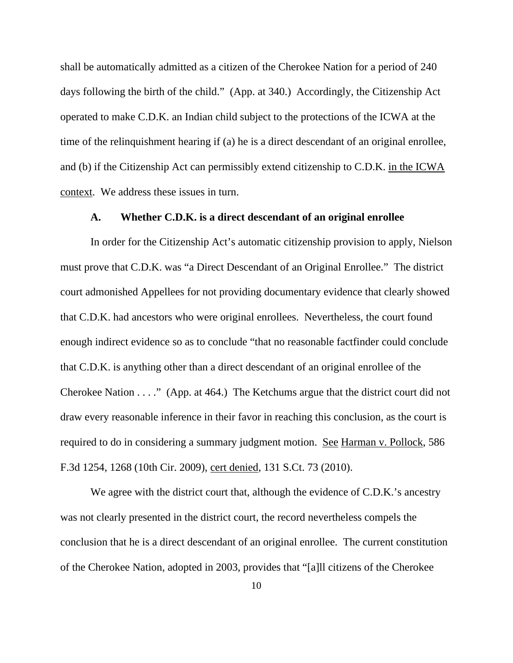shall be automatically admitted as a citizen of the Cherokee Nation for a period of 240 days following the birth of the child." (App. at 340.) Accordingly, the Citizenship Act operated to make C.D.K. an Indian child subject to the protections of the ICWA at the time of the relinquishment hearing if (a) he is a direct descendant of an original enrollee, and (b) if the Citizenship Act can permissibly extend citizenship to C.D.K. in the ICWA context. We address these issues in turn.

#### **A. Whether C.D.K. is a direct descendant of an original enrollee**

In order for the Citizenship Act's automatic citizenship provision to apply, Nielson must prove that C.D.K. was "a Direct Descendant of an Original Enrollee." The district court admonished Appellees for not providing documentary evidence that clearly showed that C.D.K. had ancestors who were original enrollees. Nevertheless, the court found enough indirect evidence so as to conclude "that no reasonable factfinder could conclude that C.D.K. is anything other than a direct descendant of an original enrollee of the Cherokee Nation . . . ." (App. at 464.) The Ketchums argue that the district court did not draw every reasonable inference in their favor in reaching this conclusion, as the court is required to do in considering a summary judgment motion. See Harman v. Pollock, 586 F.3d 1254, 1268 (10th Cir. 2009), cert denied, 131 S.Ct. 73 (2010).

We agree with the district court that, although the evidence of C.D.K.'s ancestry was not clearly presented in the district court, the record nevertheless compels the conclusion that he is a direct descendant of an original enrollee. The current constitution of the Cherokee Nation, adopted in 2003, provides that "[a]ll citizens of the Cherokee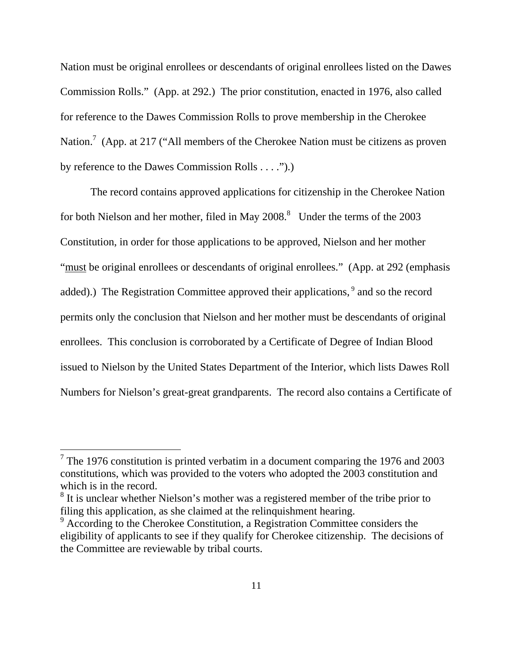Nation must be original enrollees or descendants of original enrollees listed on the Dawes Commission Rolls." (App. at 292.) The prior constitution, enacted in 1976, also called for reference to the Dawes Commission Rolls to prove membership in the Cherokee Nation.<sup>7</sup> (App. at 217 ("All members of the Cherokee Nation must be citizens as proven by reference to the Dawes Commission Rolls . . . .").)

 The record contains approved applications for citizenship in the Cherokee Nation for both Nielson and her mother, filed in May  $2008$ .<sup>8</sup> Under the terms of the  $2003$ Constitution, in order for those applications to be approved, Nielson and her mother "must be original enrollees or descendants of original enrollees." (App. at 292 (emphasis added).) The Registration Committee approved their applications,<sup>9</sup> and so the record permits only the conclusion that Nielson and her mother must be descendants of original enrollees. This conclusion is corroborated by a Certificate of Degree of Indian Blood issued to Nielson by the United States Department of the Interior, which lists Dawes Roll Numbers for Nielson's great-great grandparents. The record also contains a Certificate of

 $\overline{a}$ 

<sup>&</sup>lt;sup>7</sup> The 1976 constitution is printed verbatim in a document comparing the 1976 and 2003 constitutions, which was provided to the voters who adopted the 2003 constitution and which is in the record.

 $8<sup>8</sup>$  It is unclear whether Nielson's mother was a registered member of the tribe prior to filing this application, as she claimed at the relinquishment hearing.

<sup>&</sup>lt;sup>9</sup> According to the Cherokee Constitution, a Registration Committee considers the eligibility of applicants to see if they qualify for Cherokee citizenship. The decisions of the Committee are reviewable by tribal courts.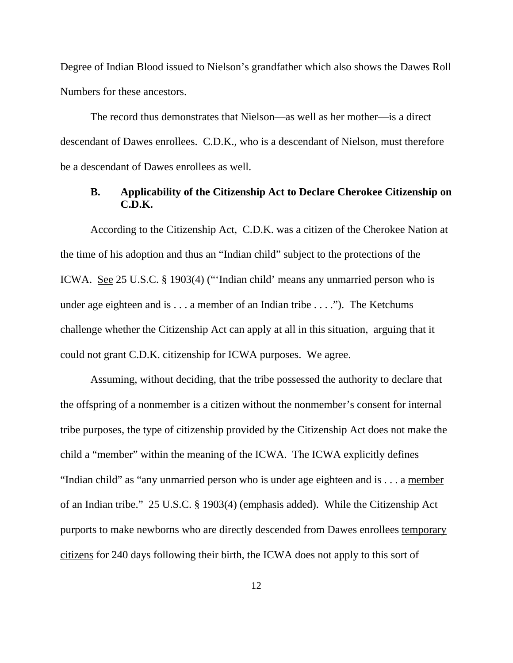Degree of Indian Blood issued to Nielson's grandfather which also shows the Dawes Roll Numbers for these ancestors.

 The record thus demonstrates that Nielson—as well as her mother—is a direct descendant of Dawes enrollees. C.D.K., who is a descendant of Nielson, must therefore be a descendant of Dawes enrollees as well.

## **B. Applicability of the Citizenship Act to Declare Cherokee Citizenship on C.D.K.**

 According to the Citizenship Act, C.D.K. was a citizen of the Cherokee Nation at the time of his adoption and thus an "Indian child" subject to the protections of the ICWA. See 25 U.S.C. § 1903(4) ("'Indian child' means any unmarried person who is under age eighteen and is  $\dots$  a member of an Indian tribe  $\dots$ ."). The Ketchums challenge whether the Citizenship Act can apply at all in this situation, arguing that it could not grant C.D.K. citizenship for ICWA purposes. We agree.

 Assuming, without deciding, that the tribe possessed the authority to declare that the offspring of a nonmember is a citizen without the nonmember's consent for internal tribe purposes, the type of citizenship provided by the Citizenship Act does not make the child a "member" within the meaning of the ICWA. The ICWA explicitly defines "Indian child" as "any unmarried person who is under age eighteen and is . . . a member of an Indian tribe." 25 U.S.C. § 1903(4) (emphasis added). While the Citizenship Act purports to make newborns who are directly descended from Dawes enrollees temporary citizens for 240 days following their birth, the ICWA does not apply to this sort of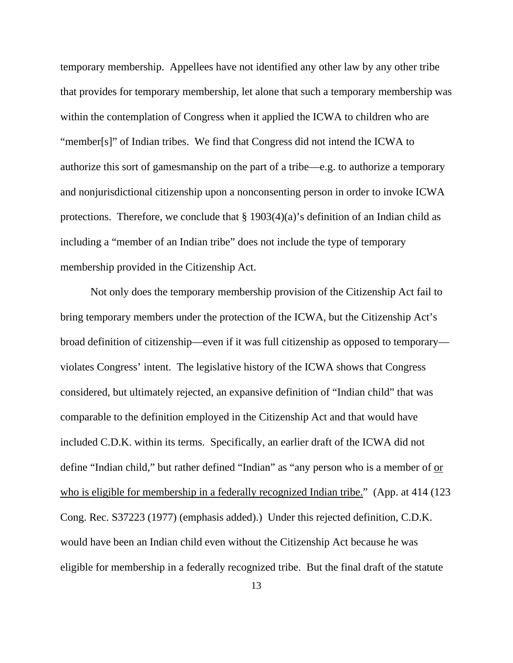temporary membership. Appellees have not identified any other law by any other tribe that provides for temporary membership, let alone that such a temporary membership was within the contemplation of Congress when it applied the ICWA to children who are "member[s]" of Indian tribes. We find that Congress did not intend the ICWA to authorize this sort of gamesmanship on the part of a tribe—e.g. to authorize a temporary and nonjurisdictional citizenship upon a nonconsenting person in order to invoke ICWA protections. Therefore, we conclude that  $\S 1903(4)(a)$ 's definition of an Indian child as including a "member of an Indian tribe" does not include the type of temporary membership provided in the Citizenship Act.

 Not only does the temporary membership provision of the Citizenship Act fail to bring temporary members under the protection of the ICWA, but the Citizenship Act's broad definition of citizenship—even if it was full citizenship as opposed to temporary violates Congress' intent. The legislative history of the ICWA shows that Congress considered, but ultimately rejected, an expansive definition of "Indian child" that was comparable to the definition employed in the Citizenship Act and that would have included C.D.K. within its terms. Specifically, an earlier draft of the ICWA did not define "Indian child," but rather defined "Indian" as "any person who is a member of <u>or</u> who is eligible for membership in a federally recognized Indian tribe." (App. at 414 (123) Cong. Rec. S37223 (1977) (emphasis added).) Under this rejected definition, C.D.K. would have been an Indian child even without the Citizenship Act because he was eligible for membership in a federally recognized tribe. But the final draft of the statute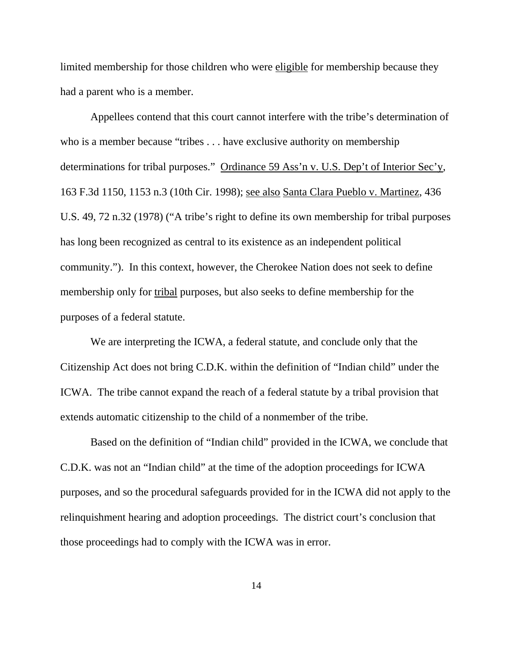limited membership for those children who were eligible for membership because they had a parent who is a member.

 Appellees contend that this court cannot interfere with the tribe's determination of who is a member because "tribes . . . have exclusive authority on membership determinations for tribal purposes." Ordinance 59 Ass'n v. U.S. Dep't of Interior Sec'y, 163 F.3d 1150, 1153 n.3 (10th Cir. 1998); see also Santa Clara Pueblo v. Martinez, 436 U.S. 49, 72 n.32 (1978) ("A tribe's right to define its own membership for tribal purposes has long been recognized as central to its existence as an independent political community."). In this context, however, the Cherokee Nation does not seek to define membership only for tribal purposes, but also seeks to define membership for the purposes of a federal statute.

 We are interpreting the ICWA, a federal statute, and conclude only that the Citizenship Act does not bring C.D.K. within the definition of "Indian child" under the ICWA. The tribe cannot expand the reach of a federal statute by a tribal provision that extends automatic citizenship to the child of a nonmember of the tribe.

 Based on the definition of "Indian child" provided in the ICWA, we conclude that C.D.K. was not an "Indian child" at the time of the adoption proceedings for ICWA purposes, and so the procedural safeguards provided for in the ICWA did not apply to the relinquishment hearing and adoption proceedings. The district court's conclusion that those proceedings had to comply with the ICWA was in error.

14